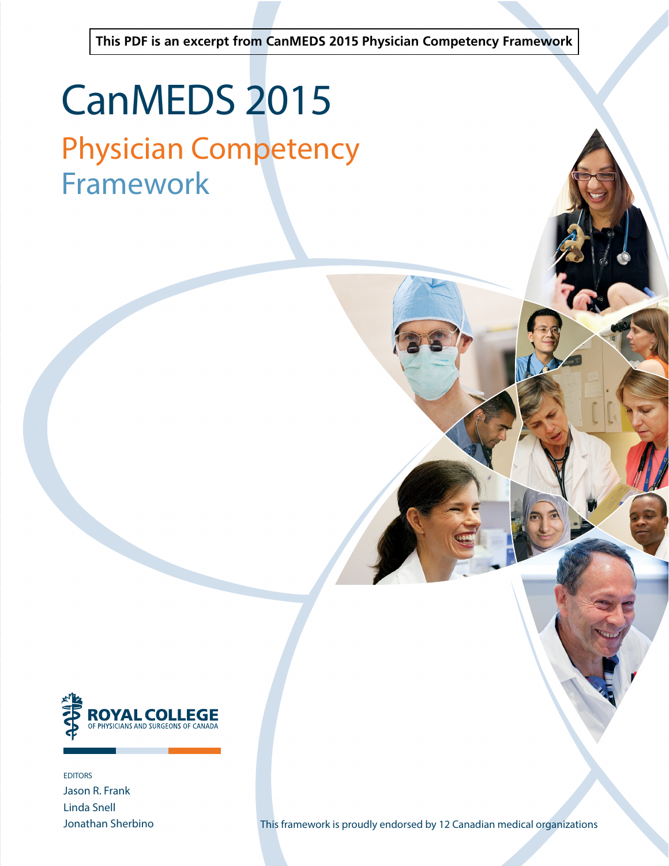**This PDF is an excerpt from CanMEDS 2015 Physician Competency Framework**

# CanMEDS 2015

Physician Competency Framework



EDITORS Jason R. Frank Linda Snell Jonathan Sherbino

This framework is proudly endorsed by 12 Canadian medical organizations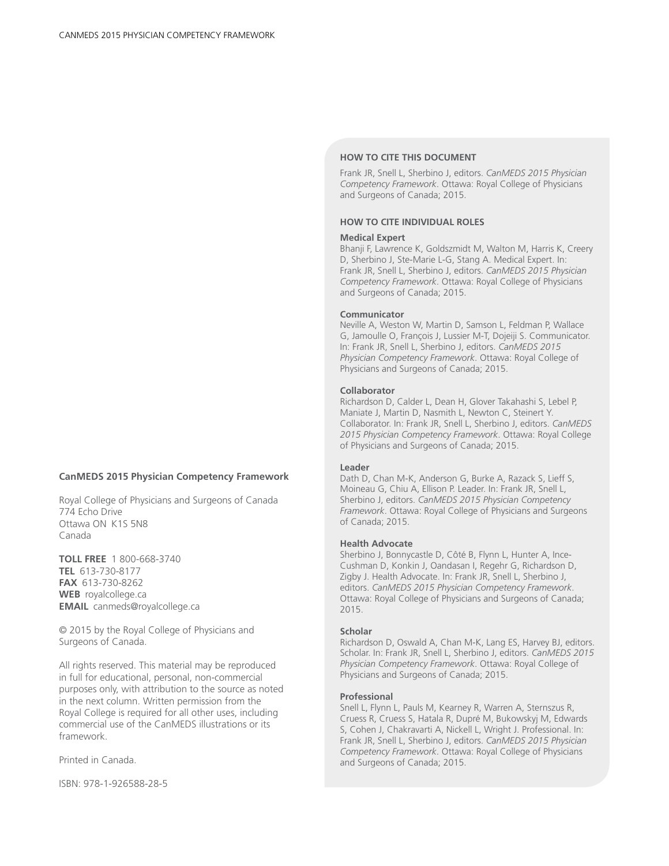#### **CanMEDS 2015 Physician Competency Framework**

Royal College of Physicians and Surgeons of Canada 774 Echo Drive Ottawa ON K1S 5N8 Canada

**TOLL FREE** 1 800-668-3740 **TEL** 613-730-8177 **FAX** 613-730-8262 **WEB** royalcollege.ca **EMAIL** canmeds@royalcollege.ca

© 2015 by the Royal College of Physicians and Surgeons of Canada.

All rights reserved. This material may be reproduced in full for educational, personal, non-commercial purposes only, with attribution to the source as noted in the next column. Written permission from the Royal College is required for all other uses, including commercial use of the CanMEDS illustrations or its framework.

Printed in Canada.

ISBN: 978-1-926588-28-5

#### **HOW TO CITE THIS DOCUMENT**

Frank JR, Snell L, Sherbino J, editors. *CanMEDS 2015 Physician Competency Framework*. Ottawa: Royal College of Physicians and Surgeons of Canada; 2015.

#### **HOW TO CITE INDIVIDUAL ROLES**

#### **Medical Expert**

Bhanji F, Lawrence K, Goldszmidt M, Walton M, Harris K, Creery D, Sherbino J, Ste-Marie L-G, Stang A. Medical Expert. In: Frank JR, Snell L, Sherbino J, editors. *CanMEDS 2015 Physician Competency Framework*. Ottawa: Royal College of Physicians and Surgeons of Canada; 2015.

#### **Communicator**

Neville A, Weston W, Martin D, Samson L, Feldman P, Wallace G, Jamoulle O, François J, Lussier M-T, Dojeiji S. Communicator. In: Frank JR, Snell L, Sherbino J, editors. *CanMEDS 2015 Physician Competency Framework*. Ottawa: Royal College of Physicians and Surgeons of Canada; 2015.

#### **Collaborator**

Richardson D, Calder L, Dean H, Glover Takahashi S, Lebel P, Maniate J, Martin D, Nasmith L, Newton C, Steinert Y. Collaborator. In: Frank JR, Snell L, Sherbino J, editors. *CanMEDS 2015 Physician Competency Framework*. Ottawa: Royal College of Physicians and Surgeons of Canada; 2015.

#### **Leader**

Dath D, Chan M-K, Anderson G, Burke A, Razack S, Lieff S, Moineau G, Chiu A, Ellison P. Leader. In: Frank JR, Snell L, Sherbino J, editors. *CanMEDS 2015 Physician Competency Framework*. Ottawa: Royal College of Physicians and Surgeons of Canada; 2015.

#### **Health Advocate**

Sherbino J, Bonnycastle D, Côté B, Flynn L, Hunter A, Ince-Cushman D, Konkin J, Oandasan I, Regehr G, Richardson D, Zigby J. Health Advocate. In: Frank JR, Snell L, Sherbino J, editors. *CanMEDS 2015 Physician Competency Framework*. Ottawa: Royal College of Physicians and Surgeons of Canada; 2015.

#### **Scholar**

Richardson D, Oswald A, Chan M-K, Lang ES, Harvey BJ, editors. Scholar. In: Frank JR, Snell L, Sherbino J, editors. *CanMEDS 2015 Physician Competency Framework*. Ottawa: Royal College of Physicians and Surgeons of Canada; 2015.

#### **Professional**

Snell L, Flynn L, Pauls M, Kearney R, Warren A, Sternszus R, Cruess R, Cruess S, Hatala R, Dupré M, Bukowskyj M, Edwards S, Cohen J, Chakravarti A, Nickell L, Wright J. Professional. In: Frank JR, Snell L, Sherbino J, editors. *CanMEDS 2015 Physician Competency Framework*. Ottawa: Royal College of Physicians and Surgeons of Canada; 2015.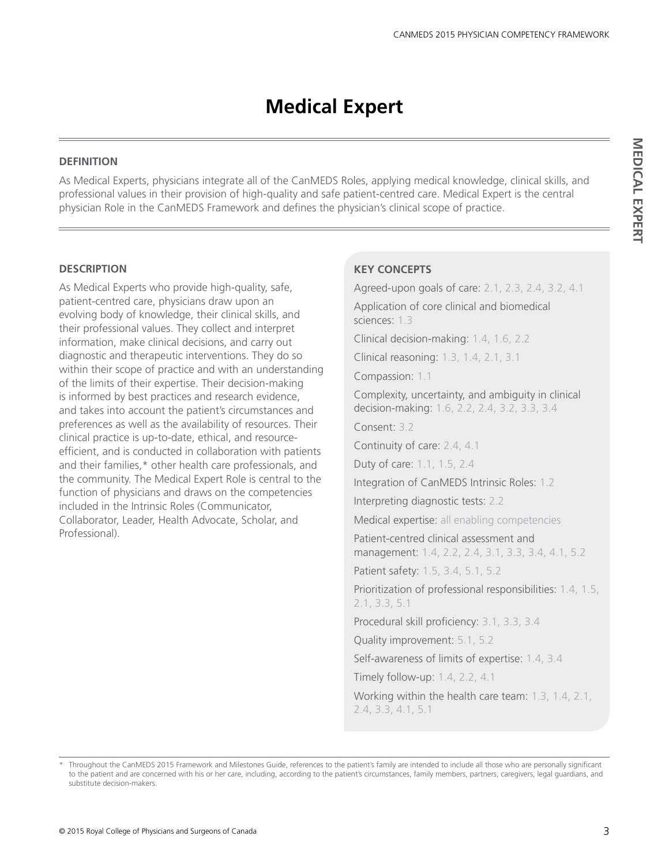# **Medical Expert**

#### **DEFINITION**

As Medical Experts, physicians integrate all of the CanMEDS Roles, applying medical knowledge, clinical skills, and professional values in their provision of high-quality and safe patient-centred care. Medical Expert is the central physician Role in the CanMEDS Framework and defines the physician's clinical scope of practice.

#### **DESCRIPTION**

As Medical Experts who provide high-quality, safe, patient-centred care, physicians draw upon an evolving body of knowledge, their clinical skills, and their professional values. They collect and interpret information, make clinical decisions, and carry out diagnostic and therapeutic interventions. They do so within their scope of practice and with an understanding of the limits of their expertise. Their decision-making is informed by best practices and research evidence, and takes into account the patient's circumstances and preferences as well as the availability of resources. Their clinical practice is up-to-date, ethical, and resourceefficient, and is conducted in collaboration with patients and their families,\* other health care professionals, and the community. The Medical Expert Role is central to the function of physicians and draws on the competencies included in the Intrinsic Roles (Communicator, Collaborator, Leader, Health Advocate, Scholar, and Professional).

#### **KEY CONCEPTS**

Agreed-upon goals of care: 2.1, 2.3, 2.4, 3.2, 4.1 Application of core clinical and biomedical sciences: 1.3 Clinical decision-making: 1.4, 1.6, 2.2 Clinical reasoning: 1.3, 1.4, 2.1, 3.1

Compassion: 1.1

Complexity, uncertainty, and ambiguity in clinical decision-making: 1.6, 2.2, 2.4, 3.2, 3.3, 3.4

Consent: 3.2

Continuity of care: 2.4, 4.1

Duty of care: 1.1, 1.5, 2.4

Integration of CanMEDS Intrinsic Roles: 1.2

Interpreting diagnostic tests: 2.2

Medical expertise: all enabling competencies

Patient-centred clinical assessment and management: 1.4, 2.2, 2.4, 3.1, 3.3, 3.4, 4.1, 5.2

Patient safety: 1.5, 3.4, 5.1, 5.2

Prioritization of professional responsibilities: 1.4, 1.5, 2.1, 3.3, 5.1

Procedural skill proficiency: 3.1, 3.3, 3.4

Quality improvement: 5.1, 5.2

Self-awareness of limits of expertise: 1.4, 3.4

Timely follow-up: 1.4, 2.2, 4.1

Working within the health care team: 1.3, 1.4, 2.1, 2.4, 3.3, 4.1, 5.1

Throughout the CanMEDS 2015 Framework and Milestones Guide, references to the patient's family are intended to include all those who are personally significant to the patient and are concerned with his or her care, including, according to the patient's circumstances, family members, partners, caregivers, legal guardians, and substitute decision-makers.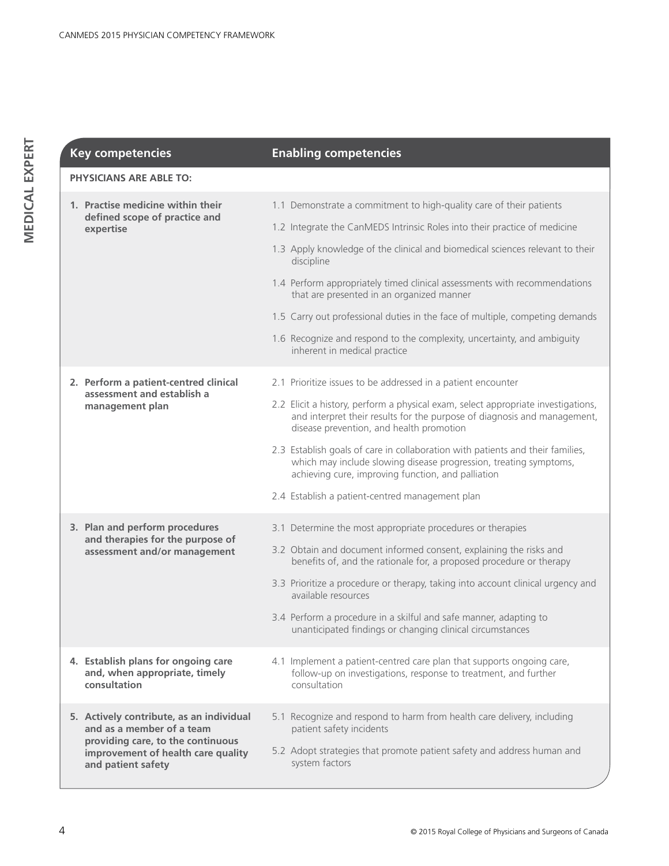#### **Key competencies**

#### **Enabling competencies**

#### **PHYSICIANS ARE ABLE TO:**

- **1. Practise medicine within their**
- **defined scope of practice and expertise**

**2. Perform a patient-centred clinical assessment and establish a** 

**3. Plan and perform procedures and therapies for the purpose of assessment and/or management** 

**4. Establish plans for ongoing care and, when appropriate, timely** 

**5. Actively contribute, as an individual and as a member of a team providing care, to the continuous improvement of health care quality** 

**consultation**

**and patient safety**

**management plan**

1.3 Apply knowledge of the clinical and biomedical sciences relevant to their discipline

1.1 Demonstrate a commitment to high-quality care of their patients

1.2 Integrate the CanMEDS Intrinsic Roles into their practice of medicine

- 1.4 Perform appropriately timed clinical assessments with recommendations that are presented in an organized manner
- 1.5 Carry out professional duties in the face of multiple, competing demands
- 1.6 Recognize and respond to the complexity, uncertainty, and ambiguity inherent in medical practice
- 2.1 Prioritize issues to be addressed in a patient encounter
	- 2.2 Elicit a history, perform a physical exam, select appropriate investigations, and interpret their results for the purpose of diagnosis and management, disease prevention, and health promotion
	- 2.3 Establish goals of care in collaboration with patients and their families, which may include slowing disease progression, treating symptoms, achieving cure, improving function, and palliation
	- 2.4 Establish a patient-centred management plan
	- 3.1 Determine the most appropriate procedures or therapies
	- 3.2 Obtain and document informed consent, explaining the risks and benefits of, and the rationale for, a proposed procedure or therapy
	- 3.3 Prioritize a procedure or therapy, taking into account clinical urgency and available resources
	- 3.4 Perform a procedure in a skilful and safe manner, adapting to unanticipated findings or changing clinical circumstances
	- 4.1 Implement a patient-centred care plan that supports ongoing care, follow-up on investigations, response to treatment, and further consultation
	- 5.1 Recognize and respond to harm from health care delivery, including patient safety incidents
	- 5.2 Adopt strategies that promote patient safety and address human and system factors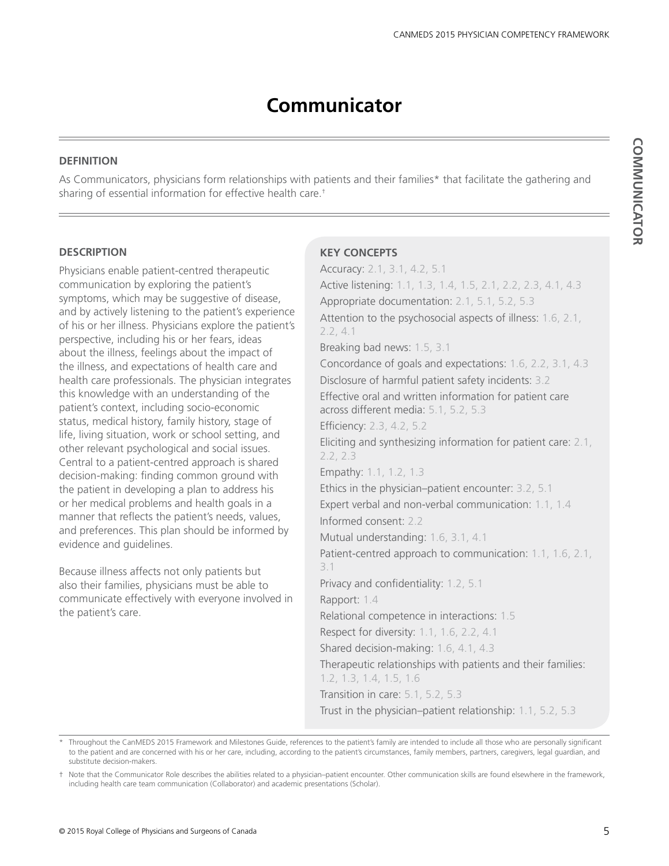## **Communicator**

#### **DEFINITION**

As Communicators, physicians form relationships with patients and their families\* that facilitate the gathering and sharing of essential information for effective health care.†

#### **DESCRIPTION**

Physicians enable patient-centred therapeutic communication by exploring the patient's symptoms, which may be suggestive of disease, and by actively listening to the patient's experience of his or her illness. Physicians explore the patient's perspective, including his or her fears, ideas about the illness, feelings about the impact of the illness, and expectations of health care and health care professionals. The physician integrates this knowledge with an understanding of the patient's context, including socio-economic status, medical history, family history, stage of life, living situation, work or school setting, and other relevant psychological and social issues. Central to a patient-centred approach is shared decision-making: finding common ground with the patient in developing a plan to address his or her medical problems and health goals in a manner that reflects the patient's needs, values, and preferences. This plan should be informed by evidence and guidelines.

Because illness affects not only patients but also their families, physicians must be able to communicate effectively with everyone involved in the patient's care.

#### **KEY CONCEPTS**

Accuracy: 2.1, 3.1, 4.2, 5.1 Active listening: 1.1, 1.3, 1.4, 1.5, 2.1, 2.2, 2.3, 4.1, 4.3 Appropriate documentation: 2.1, 5.1, 5.2, 5.3 Attention to the psychosocial aspects of illness: 1.6, 2.1, 2.2, 4.1 Breaking bad news: 1.5, 3.1 Concordance of goals and expectations: 1.6, 2.2, 3.1, 4.3 Disclosure of harmful patient safety incidents: 3.2 Effective oral and written information for patient care across different media: 5.1, 5.2, 5.3 Efficiency: 2.3, 4.2, 5.2 Eliciting and synthesizing information for patient care: 2.1, 2.2, 2.3 Empathy: 1.1, 1.2, 1.3 Ethics in the physician–patient encounter: 3.2, 5.1 Expert verbal and non-verbal communication: 1.1, 1.4 Informed consent: 2.2 Mutual understanding: 1.6, 3.1, 4.1 Patient-centred approach to communication: 1.1, 1.6, 2.1, 3.1 Privacy and confidentiality: 1.2, 5.1 Rapport: 1.4 Relational competence in interactions: 1.5 Respect for diversity: 1.1, 1.6, 2.2, 4.1 Shared decision-making: 1.6, 4.1, 4.3 Therapeutic relationships with patients and their families: 1.2, 1.3, 1.4, 1.5, 1.6 Transition in care: 5.1, 5.2, 5.3 Trust in the physician–patient relationship: 1.1, 5.2, 5.3

Throughout the CanMEDS 2015 Framework and Milestones Guide, references to the patient's family are intended to include all those who are personally significant to the patient and are concerned with his or her care, including, according to the patient's circumstances, family members, partners, caregivers, legal guardian, and substitute decision-makers.

<sup>†</sup> Note that the Communicator Role describes the abilities related to a physician–patient encounter. Other communication skills are found elsewhere in the framework, including health care team communication (Collaborator) and academic presentations (Scholar).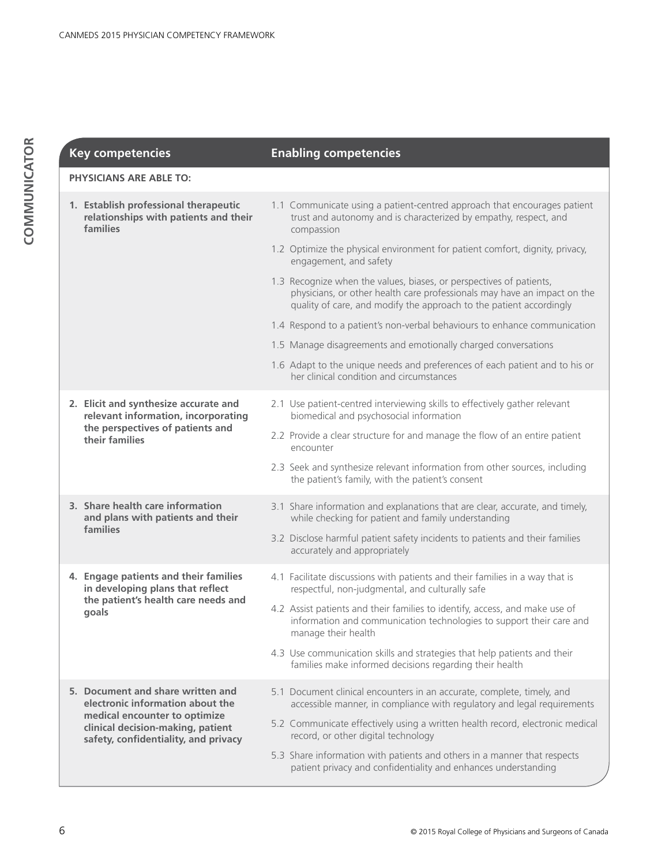## **Key competencies**

## **Enabling competencies**

#### **PHYSICIANS ARE ABLE TO:**

|  | 1. Establish professional therapeutic<br>relationships with patients and their<br>families                                                                                          | 1.1 Communicate using a patient-centred approach that encourages patient<br>trust and autonomy and is characterized by empathy, respect, and<br>compassion                                                             |
|--|-------------------------------------------------------------------------------------------------------------------------------------------------------------------------------------|------------------------------------------------------------------------------------------------------------------------------------------------------------------------------------------------------------------------|
|  |                                                                                                                                                                                     | 1.2 Optimize the physical environment for patient comfort, dignity, privacy,<br>engagement, and safety                                                                                                                 |
|  |                                                                                                                                                                                     | 1.3 Recognize when the values, biases, or perspectives of patients,<br>physicians, or other health care professionals may have an impact on the<br>quality of care, and modify the approach to the patient accordingly |
|  |                                                                                                                                                                                     | 1.4 Respond to a patient's non-verbal behaviours to enhance communication                                                                                                                                              |
|  |                                                                                                                                                                                     | 1.5 Manage disagreements and emotionally charged conversations                                                                                                                                                         |
|  |                                                                                                                                                                                     | 1.6 Adapt to the unique needs and preferences of each patient and to his or<br>her clinical condition and circumstances                                                                                                |
|  | 2. Elicit and synthesize accurate and<br>relevant information, incorporating<br>the perspectives of patients and<br>their families                                                  | 2.1 Use patient-centred interviewing skills to effectively gather relevant<br>biomedical and psychosocial information                                                                                                  |
|  |                                                                                                                                                                                     | 2.2 Provide a clear structure for and manage the flow of an entire patient<br>encounter                                                                                                                                |
|  |                                                                                                                                                                                     | 2.3 Seek and synthesize relevant information from other sources, including<br>the patient's family, with the patient's consent                                                                                         |
|  | 3. Share health care information<br>and plans with patients and their<br>families                                                                                                   | 3.1 Share information and explanations that are clear, accurate, and timely,<br>while checking for patient and family understanding                                                                                    |
|  |                                                                                                                                                                                     | 3.2 Disclose harmful patient safety incidents to patients and their families<br>accurately and appropriately                                                                                                           |
|  | 4. Engage patients and their families<br>in developing plans that reflect<br>the patient's health care needs and<br>goals                                                           | 4.1 Facilitate discussions with patients and their families in a way that is<br>respectful, non-judgmental, and culturally safe                                                                                        |
|  |                                                                                                                                                                                     | 4.2 Assist patients and their families to identify, access, and make use of<br>information and communication technologies to support their care and<br>manage their health                                             |
|  |                                                                                                                                                                                     | 4.3 Use communication skills and strategies that help patients and their<br>families make informed decisions regarding their health                                                                                    |
|  | 5. Document and share written and<br>electronic information about the<br>medical encounter to optimize<br>clinical decision-making, patient<br>safety, confidentiality, and privacy | 5.1 Document clinical encounters in an accurate, complete, timely, and<br>accessible manner, in compliance with regulatory and legal requirements                                                                      |
|  |                                                                                                                                                                                     | 5.2 Communicate effectively using a written health record, electronic medical<br>record, or other digital technology                                                                                                   |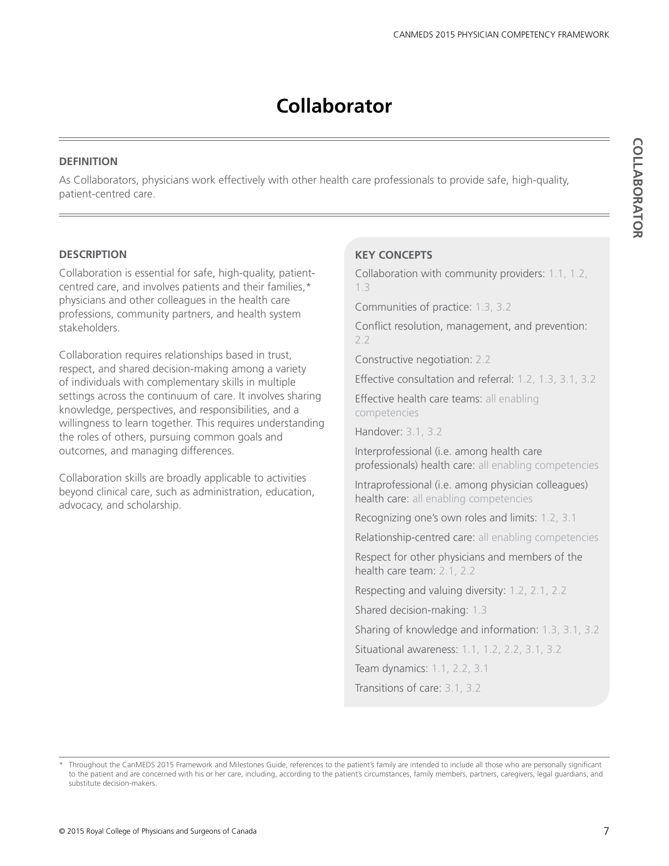# **Collaborator**

#### **DEFINITION**

As Collaborators, physicians work effectively with other health care professionals to provide safe, high-quality, patient-centred care.

#### **DESCRIPTION**

Collaboration is essential for safe, high-quality, patientcentred care, and involves patients and their families,\* physicians and other colleagues in the health care professions, community partners, and health system stakeholders.

Collaboration requires relationships based in trust, respect, and shared decision-making among a variety of individuals with complementary skills in multiple settings across the continuum of care. It involves sharing knowledge, perspectives, and responsibilities, and a willingness to learn together. This requires understanding the roles of others, pursuing common goals and outcomes, and managing differences.

Collaboration skills are broadly applicable to activities beyond clinical care, such as administration, education, advocacy, and scholarship.

#### **KEY CONCEPTS**

Collaboration with community providers: 1.1, 1.2, 1.3

Communities of practice: 1.3, 3.2

Conflict resolution, management, and prevention: 2.2

Constructive negotiation: 2.2

Effective consultation and referral: 1.2, 1.3, 3.1, 3.2

Effective health care teams: all enabling competencies

Handover: 3.1, 3.2

Interprofessional (i.e. among health care professionals) health care: all enabling competencies

Intraprofessional (i.e. among physician colleagues) health care: all enabling competencies

Recognizing one's own roles and limits: 1.2, 3.1

Relationship-centred care: all enabling competencies

Respect for other physicians and members of the health care team: 2.1, 2.2

Respecting and valuing diversity: 1.2, 2.1, 2.2

Shared decision-making: 1.3

Sharing of knowledge and information: 1.3, 3.1, 3.2

Situational awareness: 1.1, 1.2, 2.2, 3.1, 3.2

Team dynamics: 1.1, 2.2, 3.1

Transitions of care: 3.1, 3.2

Throughout the CanMEDS 2015 Framework and Milestones Guide, references to the patient's family are intended to include all those who are personally significant to the patient and are concerned with his or her care, including, according to the patient's circumstances, family members, partners, caregivers, legal guardians, and substitute decision-makers.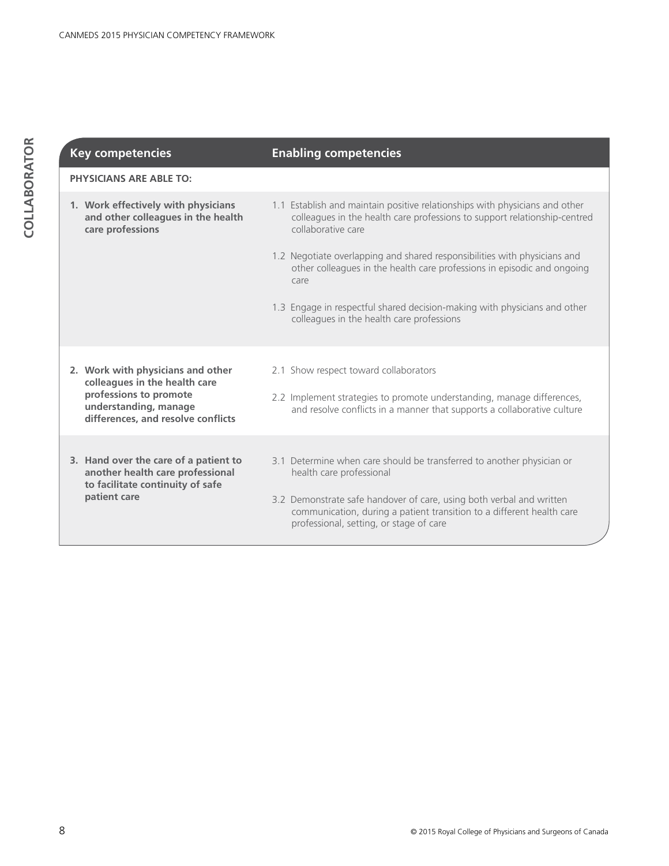#### **Key competencies**

#### **Enabling competencies**

2.1 Show respect toward collaborators

#### **PHYSICIANS ARE ABLE TO:**

- **1. Work effectively with physicians and other colleagues in the health care professions**
- 1.1 Establish and maintain positive relationships with physicians and other colleagues in the health care professions to support relationship-centred collaborative care
- 1.2 Negotiate overlapping and shared responsibilities with physicians and other colleagues in the health care professions in episodic and ongoing care
- 1.3 Engage in respectful shared decision-making with physicians and other colleagues in the health care professions
- **2. Work with physicians and other colleagues in the health care professions to promote understanding, manage differences, and resolve conflicts**
- **3. Hand over the care of a patient to another health care professional to facilitate continuity of safe patient care**
- 3.1 Determine when care should be transferred to another physician or health care professional

2.2 Implement strategies to promote understanding, manage differences, and resolve conflicts in a manner that supports a collaborative culture

3.2 Demonstrate safe handover of care, using both verbal and written communication, during a patient transition to a different health care professional, setting, or stage of care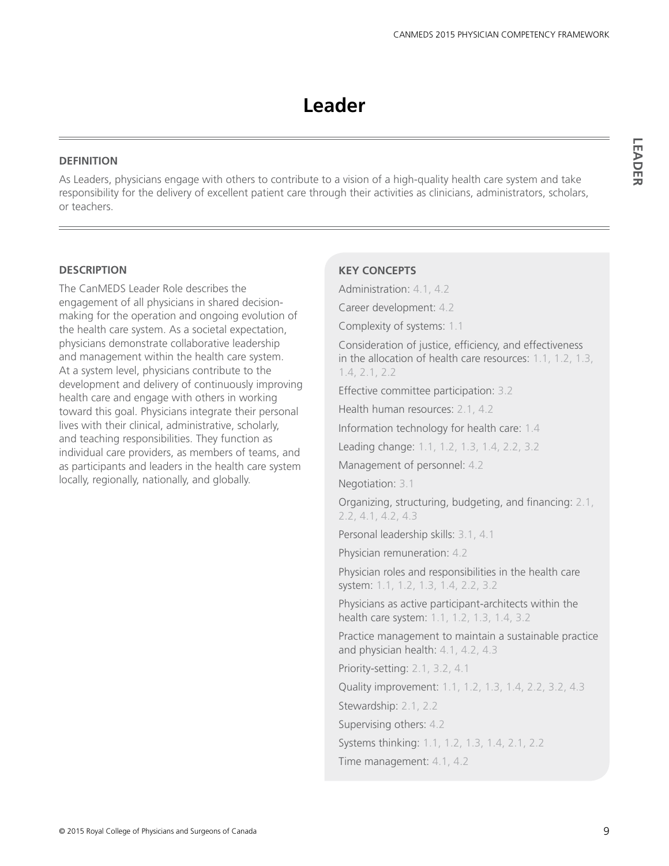#### **DEFINITION**

As Leaders, physicians engage with others to contribute to a vision of a high-quality health care system and take responsibility for the delivery of excellent patient care through their activities as clinicians, administrators, scholars, or teachers.

#### **DESCRIPTION**

The CanMEDS Leader Role describes the engagement of all physicians in shared decisionmaking for the operation and ongoing evolution of the health care system. As a societal expectation, physicians demonstrate collaborative leadership and management within the health care system. At a system level, physicians contribute to the development and delivery of continuously improving health care and engage with others in working toward this goal. Physicians integrate their personal lives with their clinical, administrative, scholarly, and teaching responsibilities. They function as individual care providers, as members of teams, and as participants and leaders in the health care system locally, regionally, nationally, and globally.

#### **KEY CONCEPTS**

Administration: 4.1, 4.2

Career development: 4.2

Complexity of systems: 1.1

Consideration of justice, efficiency, and effectiveness in the allocation of health care resources: 1.1, 1.2, 1.3, 1.4, 2.1, 2.2

Effective committee participation: 3.2

Health human resources: 2.1, 4.2

Information technology for health care: 1.4

Leading change: 1.1, 1.2, 1.3, 1.4, 2.2, 3.2

Management of personnel: 4.2

Negotiation: 3.1

Organizing, structuring, budgeting, and financing: 2.1, 2.2, 4.1, 4.2, 4.3

Personal leadership skills: 3.1, 4.1

Physician remuneration: 4.2

Physician roles and responsibilities in the health care system: 1.1, 1.2, 1.3, 1.4, 2.2, 3.2

Physicians as active participant-architects within the health care system: 1.1, 1.2, 1.3, 1.4, 3.2

Practice management to maintain a sustainable practice and physician health: 4.1, 4.2, 4.3

Priority-setting: 2.1, 3.2, 4.1

Quality improvement: 1.1, 1.2, 1.3, 1.4, 2.2, 3.2, 4.3

Stewardship: 2.1, 2.2

Supervising others: 4.2

Systems thinking: 1.1, 1.2, 1.3, 1.4, 2.1, 2.2

Time management: 4.1, 4.2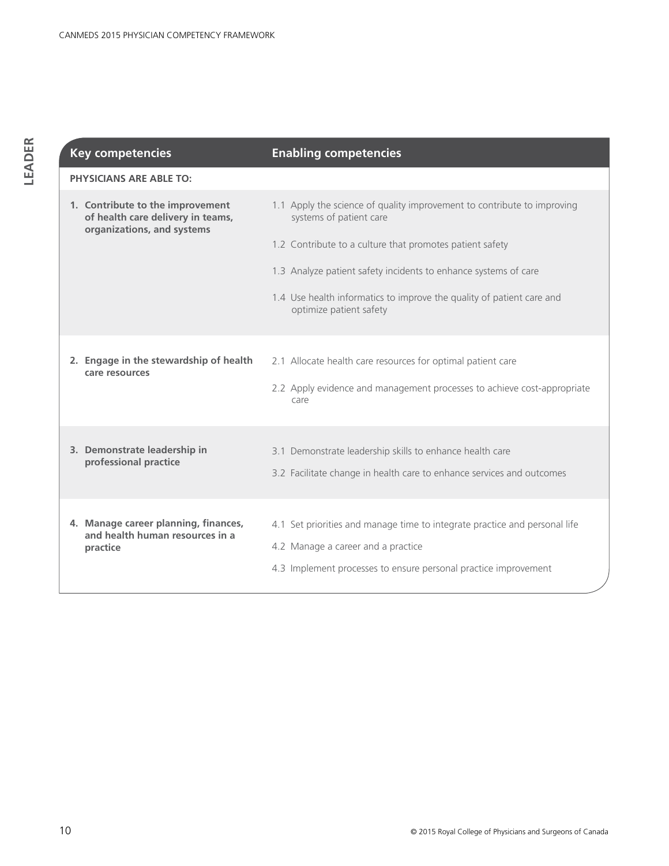| <b>Key competencies</b>                                                                             | <b>Enabling competencies</b>                                                                                                                                                                                                                                                                                                          |
|-----------------------------------------------------------------------------------------------------|---------------------------------------------------------------------------------------------------------------------------------------------------------------------------------------------------------------------------------------------------------------------------------------------------------------------------------------|
| <b>PHYSICIANS ARE ABLE TO:</b>                                                                      |                                                                                                                                                                                                                                                                                                                                       |
| 1. Contribute to the improvement<br>of health care delivery in teams,<br>organizations, and systems | 1.1 Apply the science of quality improvement to contribute to improving<br>systems of patient care<br>1.2 Contribute to a culture that promotes patient safety<br>1.3 Analyze patient safety incidents to enhance systems of care<br>1.4 Use health informatics to improve the quality of patient care and<br>optimize patient safety |
| 2. Engage in the stewardship of health<br>care resources                                            | 2.1 Allocate health care resources for optimal patient care<br>2.2 Apply evidence and management processes to achieve cost-appropriate<br>care                                                                                                                                                                                        |
| 3. Demonstrate leadership in<br>professional practice                                               | 3.1 Demonstrate leadership skills to enhance health care<br>3.2 Facilitate change in health care to enhance services and outcomes                                                                                                                                                                                                     |
| 4. Manage career planning, finances,<br>and health human resources in a<br>practice                 | 4.1 Set priorities and manage time to integrate practice and personal life<br>4.2 Manage a career and a practice<br>4.3 Implement processes to ensure personal practice improvement                                                                                                                                                   |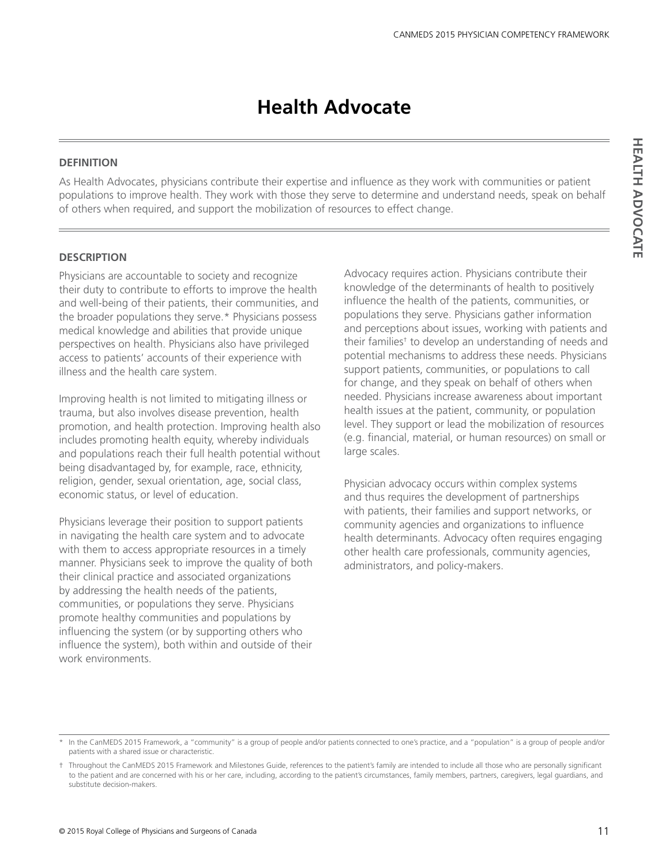# **Health Advocate**

#### **DEFINITION**

As Health Advocates, physicians contribute their expertise and influence as they work with communities or patient populations to improve health. They work with those they serve to determine and understand needs, speak on behalf of others when required, and support the mobilization of resources to effect change.

#### **DESCRIPTION**

Physicians are accountable to society and recognize their duty to contribute to efforts to improve the health and well-being of their patients, their communities, and the broader populations they serve.\* Physicians possess medical knowledge and abilities that provide unique perspectives on health. Physicians also have privileged access to patients' accounts of their experience with illness and the health care system.

Improving health is not limited to mitigating illness or trauma, but also involves disease prevention, health promotion, and health protection. Improving health also includes promoting health equity, whereby individuals and populations reach their full health potential without being disadvantaged by, for example, race, ethnicity, religion, gender, sexual orientation, age, social class, economic status, or level of education.

Physicians leverage their position to support patients in navigating the health care system and to advocate with them to access appropriate resources in a timely manner. Physicians seek to improve the quality of both their clinical practice and associated organizations by addressing the health needs of the patients, communities, or populations they serve. Physicians promote healthy communities and populations by influencing the system (or by supporting others who influence the system), both within and outside of their work environments.

Advocacy requires action. Physicians contribute their knowledge of the determinants of health to positively influence the health of the patients, communities, or populations they serve. Physicians gather information and perceptions about issues, working with patients and their families† to develop an understanding of needs and potential mechanisms to address these needs. Physicians support patients, communities, or populations to call for change, and they speak on behalf of others when needed. Physicians increase awareness about important health issues at the patient, community, or population level. They support or lead the mobilization of resources (e.g. financial, material, or human resources) on small or large scales.

Physician advocacy occurs within complex systems and thus requires the development of partnerships with patients, their families and support networks, or community agencies and organizations to influence health determinants. Advocacy often requires engaging other health care professionals, community agencies, administrators, and policy-makers.

<sup>\*</sup> In the CanMEDS 2015 Framework, a "community" is a group of people and/or patients connected to one's practice, and a "population" is a group of people and/or patients with a shared issue or characteristic.

<sup>†</sup> Throughout the CanMEDS 2015 Framework and Milestones Guide, references to the patient's family are intended to include all those who are personally significant to the patient and are concerned with his or her care, including, according to the patient's circumstances, family members, partners, caregivers, legal guardians, and substitute decision-makers.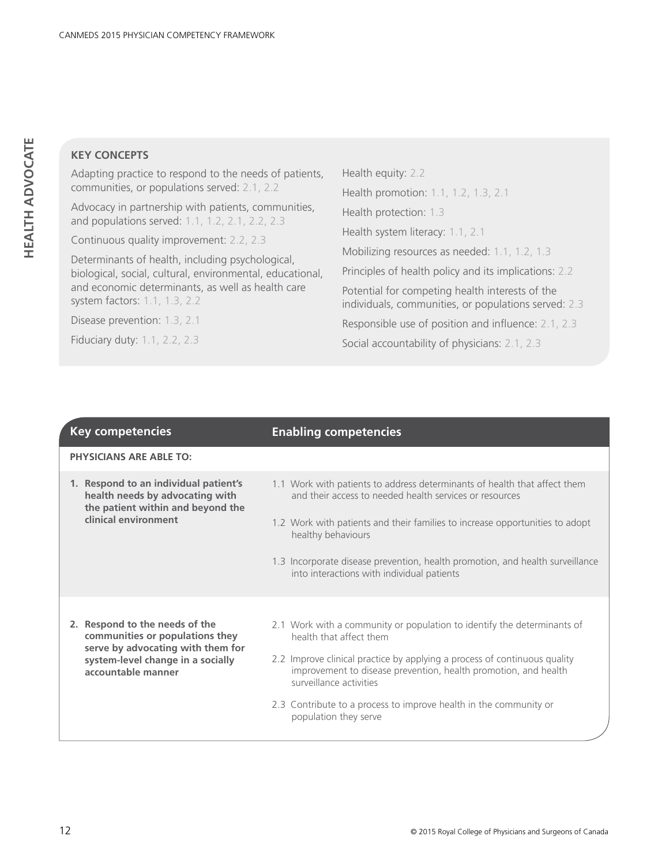#### **KEY CONCEPTS**

Adapting practice to respond to the needs of patients, communities, or populations served: 2.1, 2.2

Advocacy in partnership with patients, communities, and populations served: 1.1, 1.2, 2.1, 2.2, 2.3

Continuous quality improvement: 2.2, 2.3

Determinants of health, including psychological, biological, social, cultural, environmental, educational, and economic determinants, as well as health care system factors: 1.1, 1.3, 2.2

Disease prevention: 1.3, 2.1

Fiduciary duty: 1.1, 2.2, 2.3

Health equity: 2.2 Health promotion: 1.1, 1.2, 1.3, 2.1 Health protection: 1.3 Health system literacy: 1.1, 2.1 Mobilizing resources as needed: 1.1, 1.2, 1.3 Principles of health policy and its implications: 2.2 Potential for competing health interests of the individuals, communities, or populations served: 2.3 Responsible use of position and influence: 2.1, 2.3 Social accountability of physicians: 2.1, 2.3

| <b>Key competencies</b>                                                                                                                                           | <b>Enabling competencies</b>                                                                                                                                                                                                                                                                                                                                                |  |
|-------------------------------------------------------------------------------------------------------------------------------------------------------------------|-----------------------------------------------------------------------------------------------------------------------------------------------------------------------------------------------------------------------------------------------------------------------------------------------------------------------------------------------------------------------------|--|
| <b>PHYSICIANS ARE ABLE TO:</b>                                                                                                                                    |                                                                                                                                                                                                                                                                                                                                                                             |  |
| 1. Respond to an individual patient's<br>health needs by advocating with<br>the patient within and beyond the<br>clinical environment                             | 1.1 Work with patients to address determinants of health that affect them<br>and their access to needed health services or resources<br>1.2 Work with patients and their families to increase opportunities to adopt<br>healthy behaviours<br>1.3 Incorporate disease prevention, health promotion, and health surveillance<br>into interactions with individual patients   |  |
| 2. Respond to the needs of the<br>communities or populations they<br>serve by advocating with them for<br>system-level change in a socially<br>accountable manner | 2.1 Work with a community or population to identify the determinants of<br>health that affect them<br>2.2 Improve clinical practice by applying a process of continuous quality<br>improvement to disease prevention, health promotion, and health<br>surveillance activities<br>2.3 Contribute to a process to improve health in the community or<br>population they serve |  |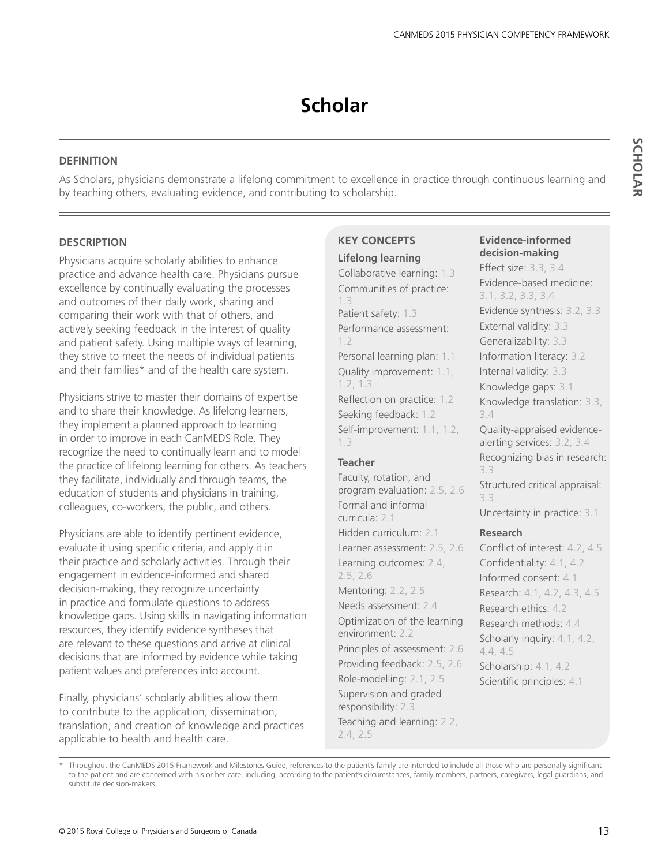substitute decision-makers.

# **Scholar**

#### **DEFINITION**

As Scholars, physicians demonstrate a lifelong commitment to excellence in practice through continuous learning and by teaching others, evaluating evidence, and contributing to scholarship.

#### **DESCRIPTION**

Physicians acquire scholarly abilities to enhance practice and advance health care. Physicians pursue excellence by continually evaluating the processes and outcomes of their daily work, sharing and comparing their work with that of others, and actively seeking feedback in the interest of quality and patient safety. Using multiple ways of learning, they strive to meet the needs of individual patients and their families\* and of the health care system.

Physicians strive to master their domains of expertise and to share their knowledge. As lifelong learners, they implement a planned approach to learning in order to improve in each CanMEDS Role. They recognize the need to continually learn and to model the practice of lifelong learning for others. As teachers they facilitate, individually and through teams, the education of students and physicians in training, colleagues, co-workers, the public, and others.

Physicians are able to identify pertinent evidence, evaluate it using specific criteria, and apply it in their practice and scholarly activities. Through their engagement in evidence-informed and shared decision-making, they recognize uncertainty in practice and formulate questions to address knowledge gaps. Using skills in navigating information resources, they identify evidence syntheses that are relevant to these questions and arrive at clinical decisions that are informed by evidence while taking patient values and preferences into account.

Finally, physicians' scholarly abilities allow them to contribute to the application, dissemination, translation, and creation of knowledge and practices applicable to health and health care.

#### **KEY CONCEPTS Lifelong learning**

Collaborative learning: 1.3 Communities of practice: 1.3 Patient safety: 1.3 Performance assessment: 1.2 Personal learning plan: 1.1 Quality improvement: 1.1, 1.2, 1.3 Reflection on practice: 1.2 Seeking feedback: 1.2 Self-improvement: 1.1, 1.2, 1.3

#### **Teacher**

\* Throughout the CanMEDS 2015 Framework and Milestones Guide, references to the patient's family are intended to include all those who are personally significant to the patient and are concerned with his or her care, including, according to the patient's circumstances, family members, partners, caregivers, legal guardians, and

Faculty, rotation, and program evaluation: 2.5, 2.6 Formal and informal curricula: 2.1 Hidden curriculum: 2.1 Learner assessment: 2.5, 2.6 Learning outcomes: 2.4, 2.5, 2.6 Mentoring: 2.2, 2.5 Needs assessment: 2.4 Optimization of the learning environment: 2.2 Principles of assessment: 2.6 Providing feedback: 2.5, 2.6 Role-modelling: 2.1, 2.5 Supervision and graded responsibility: 2.3 Teaching and learning: 2.2, 2.4, 2.5

#### **Evidence-informed decision-making**

Effect size: 3.3, 3.4 Evidence-based medicine: 3.1, 3.2, 3.3, 3.4 Evidence synthesis: 3.2, 3.3 External validity: 3.3 Generalizability: 3.3 Information literacy: 3.2 Internal validity: 3.3 Knowledge gaps: 3.1 Knowledge translation: 3.3, 3.4 Quality-appraised evidencealerting services: 3.2, 3.4 Recognizing bias in research: 3.3 Structured critical appraisal: 3.3 Uncertainty in practice: 3.1 **Research** Conflict of interest: 4.2, 4.5 Confidentiality: 4.1, 4.2 Informed consent: 4.1 Research: 4.1, 4.2, 4.3, 4.5 Research ethics: 4.2 Research methods: 4.4 Scholarly inquiry: 4.1, 4.2, 4.4, 4.5

Scholarship: 4.1, 4.2 Scientific principles: 4.1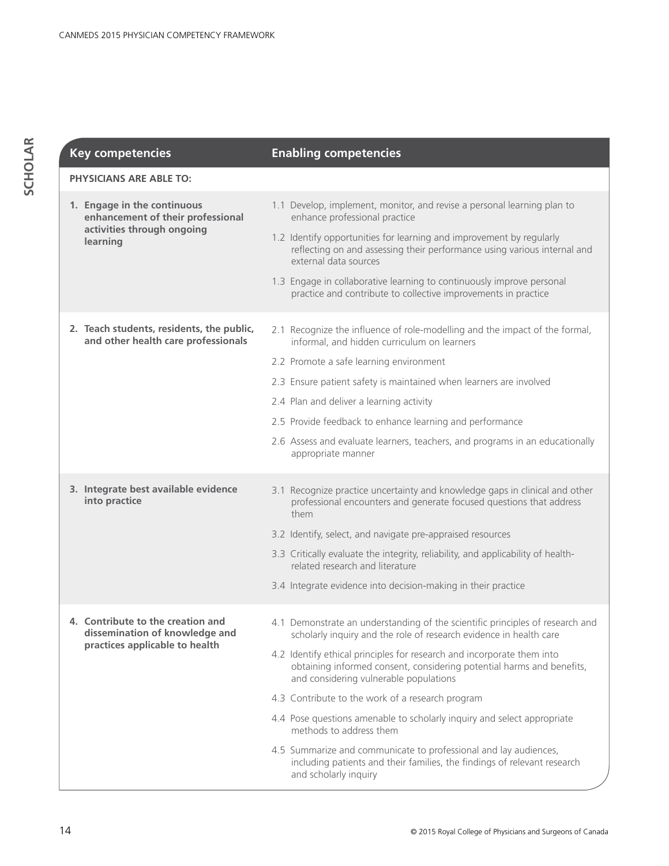| <b>Key competencies</b>                                                          | <b>Enabling competencies</b>                                                                                                                                                              |  |  |  |  |
|----------------------------------------------------------------------------------|-------------------------------------------------------------------------------------------------------------------------------------------------------------------------------------------|--|--|--|--|
| PHYSICIANS ARE ABLE TO:                                                          |                                                                                                                                                                                           |  |  |  |  |
| 1. Engage in the continuous<br>enhancement of their professional                 | 1.1 Develop, implement, monitor, and revise a personal learning plan to<br>enhance professional practice                                                                                  |  |  |  |  |
| activities through ongoing<br>learning                                           | 1.2 Identify opportunities for learning and improvement by regularly<br>reflecting on and assessing their performance using various internal and<br>external data sources                 |  |  |  |  |
|                                                                                  | 1.3 Engage in collaborative learning to continuously improve personal<br>practice and contribute to collective improvements in practice                                                   |  |  |  |  |
| 2. Teach students, residents, the public,<br>and other health care professionals | 2.1 Recognize the influence of role-modelling and the impact of the formal,<br>informal, and hidden curriculum on learners                                                                |  |  |  |  |
|                                                                                  | 2.2 Promote a safe learning environment                                                                                                                                                   |  |  |  |  |
|                                                                                  | 2.3 Ensure patient safety is maintained when learners are involved                                                                                                                        |  |  |  |  |
|                                                                                  | 2.4 Plan and deliver a learning activity                                                                                                                                                  |  |  |  |  |
|                                                                                  | 2.5 Provide feedback to enhance learning and performance                                                                                                                                  |  |  |  |  |
|                                                                                  | 2.6 Assess and evaluate learners, teachers, and programs in an educationally<br>appropriate manner                                                                                        |  |  |  |  |
| 3. Integrate best available evidence<br>into practice                            | 3.1 Recognize practice uncertainty and knowledge gaps in clinical and other<br>professional encounters and generate focused questions that address<br>them                                |  |  |  |  |
|                                                                                  | 3.2 Identify, select, and navigate pre-appraised resources                                                                                                                                |  |  |  |  |
|                                                                                  | 3.3 Critically evaluate the integrity, reliability, and applicability of health-<br>related research and literature                                                                       |  |  |  |  |
|                                                                                  | 3.4 Integrate evidence into decision-making in their practice                                                                                                                             |  |  |  |  |
| 4. Contribute to the creation and<br>dissemination of knowledge and              | 4.1 Demonstrate an understanding of the scientific principles of research and<br>scholarly inquiry and the role of research evidence in health care                                       |  |  |  |  |
| practices applicable to health                                                   | 4.2 Identify ethical principles for research and incorporate them into<br>obtaining informed consent, considering potential harms and benefits,<br>and considering vulnerable populations |  |  |  |  |
|                                                                                  | 4.3 Contribute to the work of a research program                                                                                                                                          |  |  |  |  |
|                                                                                  | 4.4 Pose questions amenable to scholarly inquiry and select appropriate<br>methods to address them                                                                                        |  |  |  |  |
|                                                                                  | 4.5 Summarize and communicate to professional and lay audiences,<br>including patients and their families, the findings of relevant research<br>and scholarly inquiry                     |  |  |  |  |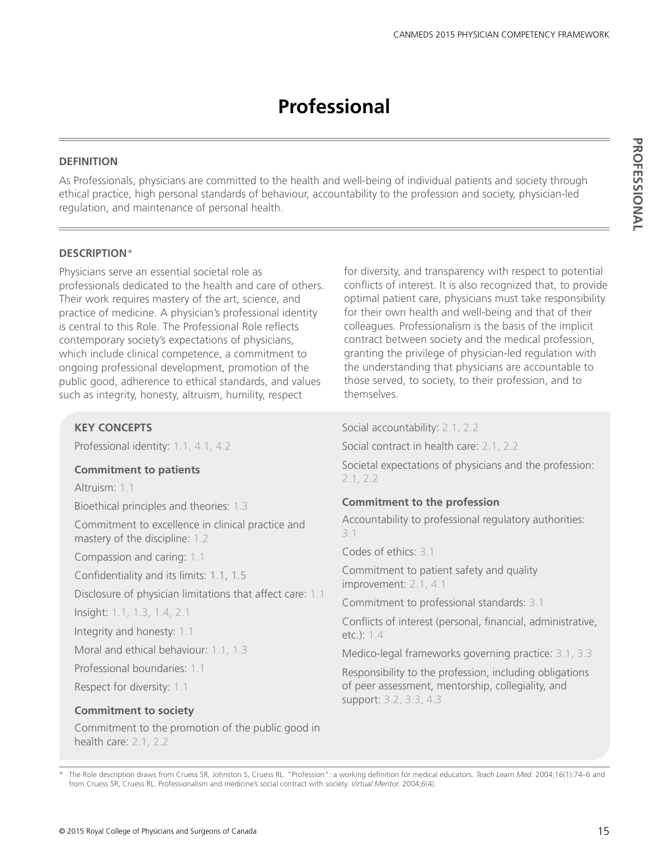#### **DEFINITION**

As Professionals, physicians are committed to the health and well-being of individual patients and society through ethical practice, high personal standards of behaviour, accountability to the profession and society, physician-led regulation, and maintenance of personal health.

#### **DESCRIPTION**\*

Physicians serve an essential societal role as professionals dedicated to the health and care of others. Their work requires mastery of the art, science, and practice of medicine. A physician's professional identity is central to this Role. The Professional Role reflects contemporary society's expectations of physicians, which include clinical competence, a commitment to ongoing professional development, promotion of the public good, adherence to ethical standards, and values such as integrity, honesty, altruism, humility, respect

#### **KEY CONCEPTS**

Professional identity: 1.1, 4.1, 4.2

#### **Commitment to patients**

Altruism: 1.1

Bioethical principles and theories: 1.3

Commitment to excellence in clinical practice and mastery of the discipline: 1.2

Compassion and caring: 1.1

Confidentiality and its limits: 1.1, 1.5

Disclosure of physician limitations that affect care: 1.1

Commitment to the promotion of the public good in

Insight: 1.1, 1.3, 1.4, 2.1

Integrity and honesty: 1.1

Moral and ethical behaviour: 1.1, 1.3

Professional boundaries: 1.1

Respect for diversity: 1.1

#### **Commitment to society**

health care: 2.1, 2.2

for diversity, and transparency with respect to potential conflicts of interest. It is also recognized that, to provide optimal patient care, physicians must take responsibility for their own health and well-being and that of their colleagues. Professionalism is the basis of the implicit contract between society and the medical profession, granting the privilege of physician-led regulation with the understanding that physicians are accountable to those served, to society, to their profession, and to themselves.

Social accountability: 2.1, 2.2

Social contract in health care: 2.1, 2.2

Societal expectations of physicians and the profession: 2.1, 2.2

#### **Commitment to the profession**

Accountability to professional regulatory authorities: 3.1

Codes of ethics: 3.1

Commitment to patient safety and quality improvement: 2.1, 4.1

Commitment to professional standards: 3.1

Conflicts of interest (personal, financial, administrative, etc.): 1.4

Medico-legal frameworks governing practice: 3.1, 3.3

Responsibility to the profession, including obligations of peer assessment, mentorship, collegiality, and support: 3.2, 3.3, 4.3

The Role description draws from Cruess SR, Johnston S, Cruess RL. "Profession": a working definition for medical educators. Teach Learn Med. 2004;16(1):74-6 and from Cruess SR, Cruess RL. Professionalism and medicine's social contract with society. *Virtual Mentor.* 2004;6(4).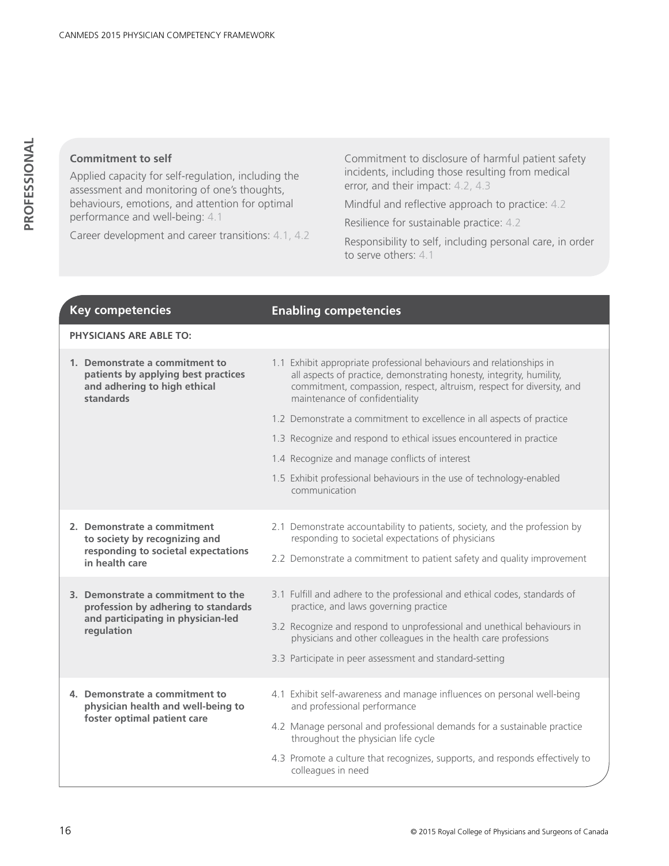#### **Commitment to self**

Applied capacity for self-regulation, including the assessment and monitoring of one's thoughts, behaviours, emotions, and attention for optimal performance and well-being: 4.1

Career development and career transitions: 4.1, 4.2

Commitment to disclosure of harmful patient safety incidents, including those resulting from medical error, and their impact: 4.2, 4.3

Mindful and reflective approach to practice: 4.2

Resilience for sustainable practice: 4.2

Responsibility to self, including personal care, in order to serve others: 4.1

#### **Key competencies**

#### **Enabling competencies**

#### **PHYSICIANS ARE ABLE TO:**

| 1. Demonstrate a commitment to<br>patients by applying best practices<br>and adhering to high ethical<br>standards            | 1.1 Exhibit appropriate professional behaviours and relationships in<br>all aspects of practice, demonstrating honesty, integrity, humility,<br>commitment, compassion, respect, altruism, respect for diversity, and<br>maintenance of confidentiality |
|-------------------------------------------------------------------------------------------------------------------------------|---------------------------------------------------------------------------------------------------------------------------------------------------------------------------------------------------------------------------------------------------------|
|                                                                                                                               | 1.2 Demonstrate a commitment to excellence in all aspects of practice                                                                                                                                                                                   |
|                                                                                                                               | 1.3 Recognize and respond to ethical issues encountered in practice                                                                                                                                                                                     |
|                                                                                                                               | 1.4 Recognize and manage conflicts of interest                                                                                                                                                                                                          |
|                                                                                                                               | 1.5 Exhibit professional behaviours in the use of technology-enabled<br>communication                                                                                                                                                                   |
| 2. Demonstrate a commitment<br>to society by recognizing and<br>responding to societal expectations<br>in health care         | 2.1 Demonstrate accountability to patients, society, and the profession by<br>responding to societal expectations of physicians<br>2.2 Demonstrate a commitment to patient safety and quality improvement                                               |
| 3. Demonstrate a commitment to the<br>profession by adhering to standards<br>and participating in physician-led<br>regulation | 3.1 Fulfill and adhere to the professional and ethical codes, standards of<br>practice, and laws governing practice                                                                                                                                     |
|                                                                                                                               | 3.2 Recognize and respond to unprofessional and unethical behaviours in<br>physicians and other colleagues in the health care professions                                                                                                               |
|                                                                                                                               | 3.3 Participate in peer assessment and standard-setting                                                                                                                                                                                                 |
| 4. Demonstrate a commitment to<br>physician health and well-being to<br>foster optimal patient care                           | 4.1 Exhibit self-awareness and manage influences on personal well-being<br>and professional performance                                                                                                                                                 |
|                                                                                                                               | 4.2 Manage personal and professional demands for a sustainable practice<br>throughout the physician life cycle                                                                                                                                          |
|                                                                                                                               | 4.3 Promote a culture that recognizes, supports, and responds effectively to<br>colleagues in need                                                                                                                                                      |